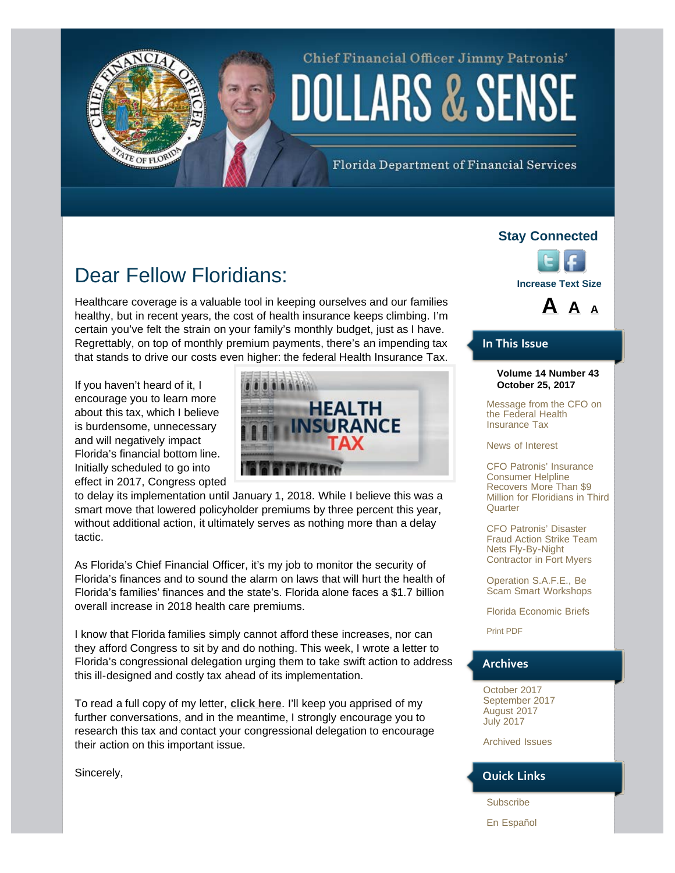# Chief Financial Officer Jimmy Patronis' **DOLLARS & SENSE**

Florida Department of Financial Services

# Dear Fellow Floridians:

Healthcare coverage is a valuable tool in keeping ourselves and our families healthy, but in recent years, the cost of health insurance keeps climbing. I'm certain you've felt the strain on your family's monthly budget, just as I have. Regrettably, on top of monthly premium payments, there's an impending tax that stands to drive our costs even higher: the federal Health Insurance Tax.

If you haven't heard of it, I encourage you to learn more about this tax, which I believe is burdensome, unnecessary and will negatively impact Florida's financial bottom line. Initially scheduled to go into effect in 2017, Congress opted

<span id="page-0-0"></span>TE OF FLORID



to delay its implementation until January 1, 2018. While I believe this was a smart move that lowered policyholder premiums by three percent this year, without additional action, it ultimately serves as nothing more than a delay tactic.

As Florida's Chief Financial Officer, it's my job to monitor the security of Florida's finances and to sound the alarm on laws that will hurt the health of Florida's families' finances and the state's. Florida alone faces a \$1.7 billion overall increase in 2018 health care premiums.

I know that Florida families simply cannot afford these increases, nor can they afford Congress to sit by and do nothing. This week, I wrote a letter to Florida's congressional delegation urging them to take swift action to address this ill-designed and costly tax ahead of its implementation.

To read a full copy of my letter, **[click here](https://www.myfloridacfo.com/documents/HIT-Tax10-23-2017.pdf)**. I'll keep you apprised of my further conversations, and in the meantime, I strongly encourage you to research this tax and contact your congressional delegation to encourage their action on this important issue.

Sincerely,

### **Stay Connected**





### **In This Issue**

#### **Volume 14 Number 43 October 25, 2017**

[Message from the CFO on](#page-0-0) [the Federal Health](#page-0-0) [Insurance Tax](#page-0-0)

[News of Interest](#page-1-0)

[CFO Patronis' Insurance](#page-3-0) [Consumer Helpline](#page-3-0) [Recovers More Than \\$9](#page-3-0) [Million for Floridians in Third](#page-3-0) **[Quarter](#page-3-0)** 

[CFO Patronis' Disaster](#page-3-1) [Fraud Action Strike Team](#page-3-1) [Nets Fly-By-Night](#page-3-1) [Contractor in Fort Myers](#page-3-1)

[Operation S.A.F.E., Be](#page-4-0) [Scam Smart Workshops](#page-4-0)

[Florida Economic Briefs](#page-5-0)

[Print PDF](http://www.myfloridacfo.com/PressOffice/Newsletter/2017/102517/CFOPatronisDollarsSense102517.pdf)

### **Archives**

[October 2017](http://staging.fldoi.gov/pressoffice/newsletter/newsletter_archivenew.htm#4) [September 2017](http://staging.fldoi.gov/pressoffice/newsletter/newsletter_archivenew.htm#3) [August 2017](http://staging.fldoi.gov/pressoffice/newsletter/newsletter_archivenew.htm#2) [July 2017](http://staging.fldoi.gov/pressoffice/newsletter/newsletter_archivenew.htm#1)

[Archived Issues](http://staging.fldoi.gov/pressoffice/newsletter/2014Issues.aspx#2017)

### **Quick Links**

[Subscribe](http://dfs.imarcsgroup.com/home/)

[En Español](http://espanol.myfloridacfo.com/)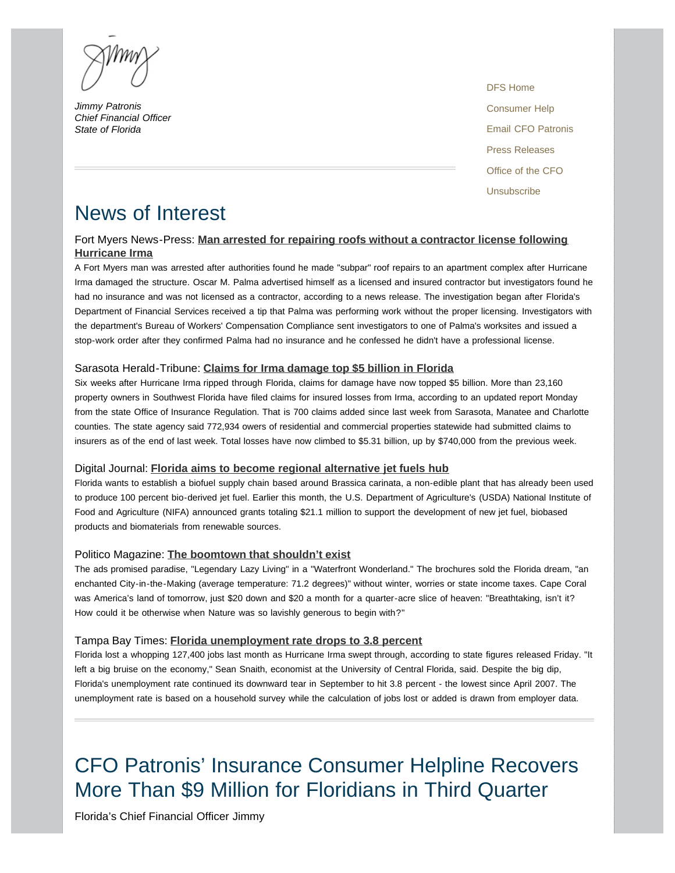*Jimmy Patronis Chief Financial Officer State of Florida* 

[DFS Home](http://www.myfloridacfo.com/) [Consumer Help](http://www.myfloridacfo.com/Division/Consumers/needourhelp.htm) [Email CFO Patronis](mailto:CFO.Patronis@MyFloridaCFO.com) [Press Releases](http://www.myfloridacfo.com/sitePages/newsroom/default.aspx) [Office of the CFO](http://www.myfloridacfo.com/division/cfo/) [Unsubscribe](http://dfs.imarcsgroup.com/subscriber/unsubscribe/)

## <span id="page-1-0"></span>News of Interest

### Fort Myers News-Press: **[Man arrested for repairing roofs without a contractor license following](http://www.news-press.com/story/news/crime/2017/10/20/man-arrested-repairing-roofs-without-contractor-license-following-hurricane-irma/784269001/) [Hurricane Irma](http://www.news-press.com/story/news/crime/2017/10/20/man-arrested-repairing-roofs-without-contractor-license-following-hurricane-irma/784269001/)**

A Fort Myers man was arrested after authorities found he made "subpar" roof repairs to an apartment complex after Hurricane Irma damaged the structure. Oscar M. Palma advertised himself as a licensed and insured contractor but investigators found he had no insurance and was not licensed as a contractor, according to a news release. The investigation began after Florida's Department of Financial Services received a tip that Palma was performing work without the proper licensing. Investigators with the department's Bureau of Workers' Compensation Compliance sent investigators to one of Palma's worksites and issued a stop-work order after they confirmed Palma had no insurance and he confessed he didn't have a professional license.

### Sarasota Herald-Tribune: **[Claims for Irma damage top \\$5 billion in Florida](http://www.heraldtribune.com/news/20171023/claims-for-irma-damage-top-5-billion-in-florida)**

Six weeks after Hurricane Irma ripped through Florida, claims for damage have now topped \$5 billion. More than 23,160 property owners in Southwest Florida have filed claims for insured losses from Irma, according to an updated report Monday from the state Office of Insurance Regulation. That is 700 claims added since last week from Sarasota, Manatee and Charlotte counties. The state agency said 772,934 owers of residential and commercial properties statewide had submitted claims to insurers as of the end of last week. Total losses have now climbed to \$5.31 billion, up by \$740,000 from the previous week.

#### Digital Journal: **[Florida aims to become regional alternative jet fuels hub](http://www.digitaljournal.com/tech-and-science/science/florida-aims-to-become-regional-alternative-jet-fuels-hub/article/505730)**

Florida wants to establish a biofuel supply chain based around Brassica carinata, a non-edible plant that has already been used to produce 100 percent bio-derived jet fuel. Earlier this month, the U.S. Department of Agriculture's (USDA) National Institute of Food and Agriculture (NIFA) announced grants totaling \$21.1 million to support the development of new jet fuel, biobased products and biomaterials from renewable sources.

#### Politico Magazine: **[The boomtown that shouldn't exist](http://www.politico.com/magazine/story/2017/10/20/fastest-growing-city-america-florida-cape-coral-215724)**

The ads promised paradise, "Legendary Lazy Living" in a "Waterfront Wonderland." The brochures sold the Florida dream, "an enchanted City-in-the-Making (average temperature: 71.2 degrees)" without winter, worries or state income taxes. Cape Coral was America's land of tomorrow, just \$20 down and \$20 a month for a quarter-acre slice of heaven: "Breathtaking, isn't it? How could it be otherwise when Nature was so lavishly generous to begin with?"

#### Tampa Bay Times: **[Florida unemployment rate drops to 3.8 percent](http://www.heraldtribune.com/news/20171019/county-joins-race-for-hq2)**

Florida lost a whopping 127,400 jobs last month as Hurricane Irma swept through, according to state figures released Friday. "It left a big bruise on the economy," Sean Snaith, economist at the University of Central Florida, said. Despite the big dip, Florida's unemployment rate continued its downward tear in September to hit 3.8 percent - the lowest since April 2007. The unemployment rate is based on a household survey while the calculation of jobs lost or added is drawn from employer data.

# CFO Patronis' Insurance Consumer Helpline Recovers More Than \$9 Million for Floridians in Third Quarter

Florida's Chief Financial Officer Jimmy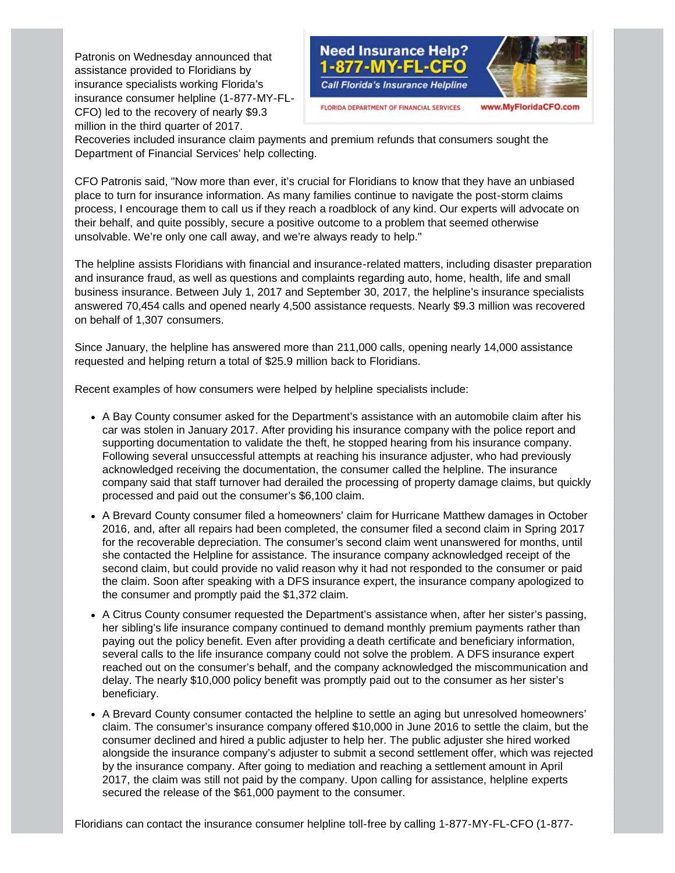Patronis on Wednesday announced that assistance provided to Floridians by insurance specialists working Florida's insurance consumer helpline (1-877-MY-FL-CFO) led to the recovery of nearly \$9.3 million in the third quarter of 2017.



FLORIDA DEPARTMENT OF FINANCIAL SERVICES

#### www.MyFloridaCFO.com

Recoveries included insurance claim payments and premium refunds that consumers sought the Department of Financial Services' help collecting.

CFO Patronis said, "Now more than ever, it's crucial for Floridians to know that they have an unbiased place to turn for insurance information. As many families continue to navigate the post-storm claims process, I encourage them to call us if they reach a roadblock of any kind. Our experts will advocate on their behalf, and quite possibly, secure a positive outcome to a problem that seemed otherwise unsolvable. We're only one call away, and we're always ready to help."

The helpline assists Floridians with financial and insurance-related matters, including disaster preparation and insurance fraud, as well as questions and complaints regarding auto, home, health, life and small business insurance. Between July 1, 2017 and September 30, 2017, the helpline's insurance specialists answered 70,454 calls and opened nearly 4,500 assistance requests. Nearly \$9.3 million was recovered on behalf of 1,307 consumers.

Since January, the helpline has answered more than 211,000 calls, opening nearly 14,000 assistance requested and helping return a total of \$25.9 million back to Floridians.

Recent examples of how consumers were helped by helpline specialists include:

- A Bay County consumer asked for the Department's assistance with an automobile claim after his car was stolen in January 2017. After providing his insurance company with the police report and supporting documentation to validate the theft, he stopped hearing from his insurance company. Following several unsuccessful attempts at reaching his insurance adjuster, who had previously acknowledged receiving the documentation, the consumer called the helpline. The insurance company said that staff turnover had derailed the processing of property damage claims, but quickly processed and paid out the consumer's \$6,100 claim.
- A Brevard County consumer filed a homeowners' claim for Hurricane Matthew damages in October 2016, and, after all repairs had been completed, the consumer filed a second claim in Spring 2017 for the recoverable depreciation. The consumer's second claim went unanswered for months, until she contacted the Helpline for assistance. The insurance company acknowledged receipt of the second claim, but could provide no valid reason why it had not responded to the consumer or paid the claim. Soon after speaking with a DFS insurance expert, the insurance company apologized to the consumer and promptly paid the \$1,372 claim.
- A Citrus County consumer requested the Department's assistance when, after her sister's passing, her sibling's life insurance company continued to demand monthly premium payments rather than paying out the policy benefit. Even after providing a death certificate and beneficiary information, several calls to the life insurance company could not solve the problem. A DFS insurance expert reached out on the consumer's behalf, and the company acknowledged the miscommunication and delay. The nearly \$10,000 policy benefit was promptly paid out to the consumer as her sister's beneficiary.
- A Brevard County consumer contacted the helpline to settle an aging but unresolved homeowners' claim. The consumer's insurance company offered \$10,000 in June 2016 to settle the claim, but the consumer declined and hired a public adjuster to help her. The public adjuster she hired worked alongside the insurance company's adjuster to submit a second settlement offer, which was rejected by the insurance company. After going to mediation and reaching a settlement amount in April 2017, the claim was still not paid by the company. Upon calling for assistance, helpline experts secured the release of the \$61,000 payment to the consumer.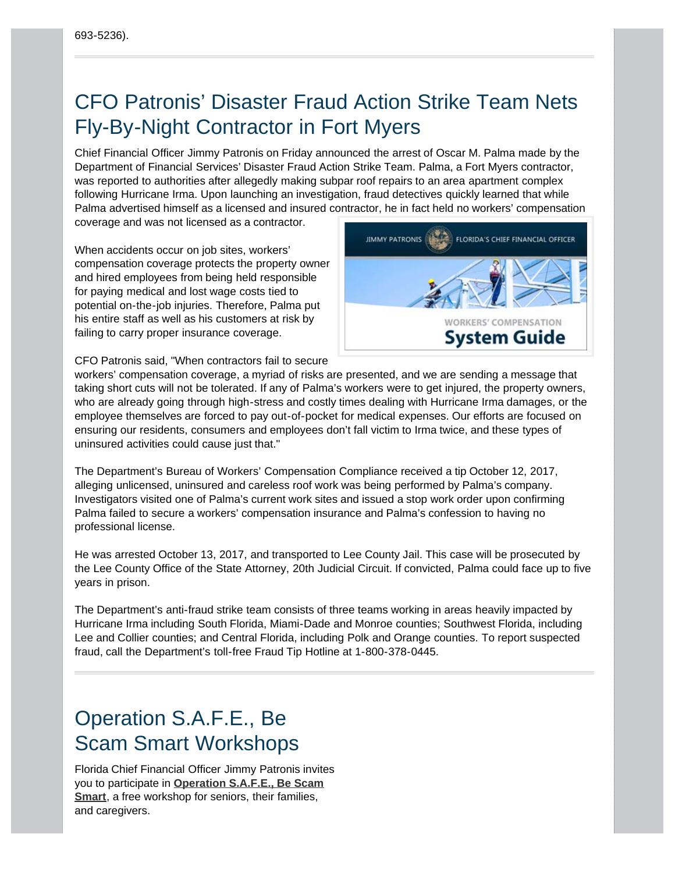# <span id="page-3-1"></span><span id="page-3-0"></span>CFO Patronis' Disaster Fraud Action Strike Team Nets Fly-By-Night Contractor in Fort Myers

Chief Financial Officer Jimmy Patronis on Friday announced the arrest of Oscar M. Palma made by the Department of Financial Services' Disaster Fraud Action Strike Team. Palma, a Fort Myers contractor, was reported to authorities after allegedly making subpar roof repairs to an area apartment complex following Hurricane Irma. Upon launching an investigation, fraud detectives quickly learned that while Palma advertised himself as a licensed and insured contractor, he in fact held no workers' compensation coverage and was not licensed as a contractor.

When accidents occur on job sites, workers' compensation coverage protects the property owner and hired employees from being held responsible for paying medical and lost wage costs tied to potential on-the-job injuries. Therefore, Palma put his entire staff as well as his customers at risk by failing to carry proper insurance coverage.



CFO Patronis said, "When contractors fail to secure

workers' compensation coverage, a myriad of risks are presented, and we are sending a message that taking short cuts will not be tolerated. If any of Palma's workers were to get injured, the property owners, who are already going through high-stress and costly times dealing with Hurricane Irma damages, or the employee themselves are forced to pay out-of-pocket for medical expenses. Our efforts are focused on ensuring our residents, consumers and employees don't fall victim to Irma twice, and these types of uninsured activities could cause just that."

The Department's Bureau of Workers' Compensation Compliance received a tip October 12, 2017, alleging unlicensed, uninsured and careless roof work was being performed by Palma's company. Investigators visited one of Palma's current work sites and issued a stop work order upon confirming Palma failed to secure a workers' compensation insurance and Palma's confession to having no professional license.

He was arrested October 13, 2017, and transported to Lee County Jail. This case will be prosecuted by the Lee County Office of the State Attorney, 20th Judicial Circuit. If convicted, Palma could face up to five years in prison.

The Department's anti-fraud strike team consists of three teams working in areas heavily impacted by Hurricane Irma including South Florida, Miami-Dade and Monroe counties; Southwest Florida, including Lee and Collier counties; and Central Florida, including Polk and Orange counties. To report suspected fraud, call the Department's toll-free Fraud Tip Hotline at 1-800-378-0445.

# Operation S.A.F.E., Be Scam Smart Workshops

Florida Chief Financial Officer Jimmy Patronis invites you to participate in **[Operation S.A.F.E., Be Scam](http://www.myfloridacfo.com/safe/) [Smart](http://www.myfloridacfo.com/safe/)**, a free workshop for seniors, their families, and caregivers.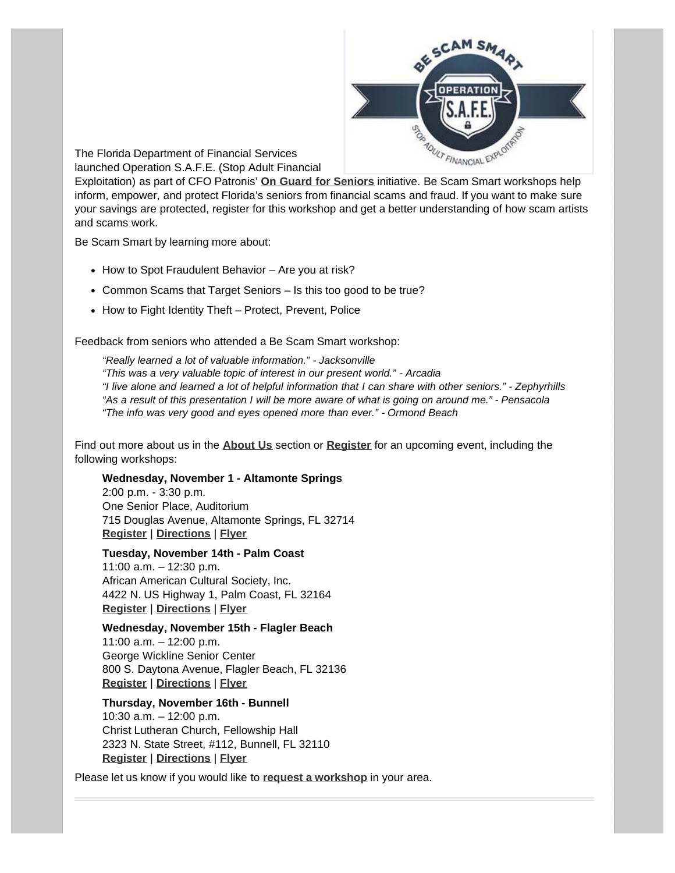

<span id="page-4-0"></span>The Florida Department of Financial Services launched Operation S.A.F.E. (Stop Adult Financial

Exploitation) as part of CFO Patronis' **[On Guard for Seniors](http://www.myfloridacfo.com/OnGuard/)** initiative. Be Scam Smart workshops help inform, empower, and protect Florida's seniors from financial scams and fraud. If you want to make sure your savings are protected, register for this workshop and get a better understanding of how scam artists and scams work.

Be Scam Smart by learning more about:

- How to Spot Fraudulent Behavior Are you at risk?
- Common Scams that Target Seniors Is this too good to be true?
- How to Fight Identity Theft Protect, Prevent, Police

Feedback from seniors who attended a Be Scam Smart workshop:

*"Really learned a lot of valuable information." - Jacksonville "This was a very valuable topic of interest in our present world." - Arcadia "I live alone and learned a lot of helpful information that I can share with other seniors." - Zephyrhills "As a result of this presentation I will be more aware of what is going on around me." - Pensacola "The info was very good and eyes opened more than ever." - Ormond Beach*

Find out more about us in the **[About Us](http://www.myfloridacfo.com/safe/about.asp)** section or **[Register](http://www.myfloridacfo.com/safe/registration.asp)** for an upcoming event, including the following workshops:

### **Wednesday, November 1 - Altamonte Springs**

2:00 p.m. - 3:30 p.m. One Senior Place, Auditorium 715 Douglas Avenue, Altamonte Springs, FL 32714 **[Register](https://consumerservices.webconnex.com/OPSAFE2014)** | **[Directions](https://goo.gl/fYgbbe)** | **[Flyer](http://www.myfloridacfo.com/SAFE/documents/2017/Op-SAFE-Flyer-Altamonte-Springs_11012017.pdf)**

### **Tuesday, November 14th - Palm Coast**

11:00 a.m. – 12:30 p.m. African American Cultural Society, Inc. 4422 N. US Highway 1, Palm Coast, FL 32164 **[Register](https://consumerservices.webconnex.com/OPSAFE2014)** | **[Directions](https://goo.gl/LmJ3fa)** | **[Flyer](https://www.myfloridacfo.com/SAFE/documents/2017/Op-SAFE-Flyer-AACS-11_14_17.pdf)**

### **Wednesday, November 15th - Flagler Beach**

11:00 a.m. – 12:00 p.m. George Wickline Senior Center 800 S. Daytona Avenue, Flagler Beach, FL 32136 **[Register](https://consumerservices.webconnex.com/OPSAFE2014)** | **[Directions](https://goo.gl/ZJbbPx)** | **[Flyer](https://www.myfloridacfo.com/SAFE/documents/Op-SAFE-Flyer-Flagler-11.15.17.pdf)**

### **Thursday, November 16th - Bunnell**

10:30 a.m. – 12:00 p.m. Christ Lutheran Church, Fellowship Hall 2323 N. State Street, #112, Bunnell, FL 32110 **[Register](https://consumerservices.webconnex.com/OPSAFE2014)** | **[Directions](https://goo.gl/kUmdjC)** | **[Flyer](https://www.myfloridacfo.com/SAFE/documents/Op-SAFE-Flyer-Bunnell-11.16.17.pdf)**

Please let us know if you would like to **[request a workshop](https://consumerservices.webconnex.com/saferequest)** in your area.